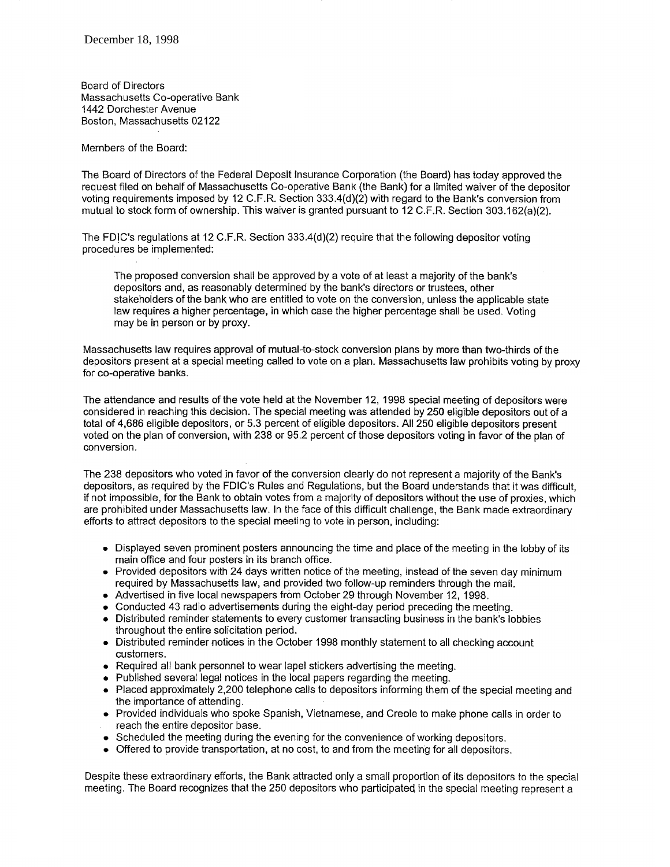Board of Directors Massachusetts Co-operative Bank 1442 Dorchester Avenue Boston, Massachusetts 02122

Members of the Board:

The Board of Directors of the Federal Deposit Insurance Corporation (the Board) has today approved the request filed on behalf of Massachusetts Co-operative Bank (the Bank) for a limited waiver of the depositor vofing requirements imposed by 12 C.F.R. Section 333.4(d)(2) with regard to the Bank's conversion from mutual to stock form of ownership. This waiver is granted pursuant to 12 C.F.R. Section 303.162(a)(2).

The FDiC's regulations at 12 C.F.R. Section 333.4(4)(2) require that the following depositor voting procedures be implemented:

The proposed conversion shall be approved by a vote of at least a majority of the bank's depositors and, as reasonably determined by the bank's directors or trustees, other stakeholders of the bank who are entitled to vote on the conversion, unless the applicable state law requires a higher percentage, in which case the higher percentage shall be used. Voting may be in person or by proxy.

Massachusetts law requires approval of mutual-to-stock conversion plans by more than two-thirds of the depositors present at a special meeting called to vote on a plan. Massachusetts law prohibits voting by proxy for co-operative banks.

The attendance and results of the vote held at the November 12, 1998 special meeting of depositors were considered in reaching this decision. The special meeting was attended by 250 eligible depositors out of a total of 4,686 eligible depositors, or 5.3 percent of eligible depositors. All 250 eligible depositors present voted on the plan of conversion, with 238 or 95.2 percent of those depositors voting in favor of the plan of conversion.

The 238 depositors who voted in favor of the conversion clearly do not represent a majority of the Bank's depositors, as required by the FDIC's Rules and Regulations, but the Board understands that it was difficult, if not impossible, for the Bank to obtain votes from a majority of depositors without the use of proxies, which are prohibited under Massachusetts law. In the face of this difficult challenge, the Bank made extraordinary efforts to attract depositors to the special meeting to vote in person, including:

- Displayed seven prominent posters announcing the time and place of the meeting in the lobby of its main office and four posters in its branch office.
- Provided depositors with 24 days written notice of the meeting, instead of the seven day minimum required by Massachusetts law, and provided two follow-up reminders through the mail.<br>• Advertised in five local newspapers from October 29 through November 12, 1998.
- 
- Advertised in five local newspapers from October 29 through November 12, 1998.<br>• Conducted 43 radio advertisements during the eight-day period preceding the meeting.<br>• Distributed reminder statements to every customer t
- Distributed reminder statements to every customer transacting business in the bank's lobbies throughout the entire solicitation period.
- . Distributed reminder notices in the October 1998 monthly statement to all checking account customers.
- Required all bank personnel to wear lapel stickers advertising the meeting.  $\bullet$
- Published several legal notices in the local papers regarding the meeting.
- Placed approximately 2,200 telephone calls to depositors informing them of the special meeting and  $\bullet$ the importance of attending,
- . Provided individuals who spoke Spanish, Vietnamese, and Creole to make phone calls in order to reach the entire depositor base.
- Scheduled the meeting during the evening for the convenience of working depositors.
- Offered to provide transportation, at no cost, to and from the meeting for all depositors.

Despite these extraordinary efforts, the Bank attracted only a small proportion of its depositors to the special meeting. The Board recognizes that the 250 depositors who participated in the special meeting represent a